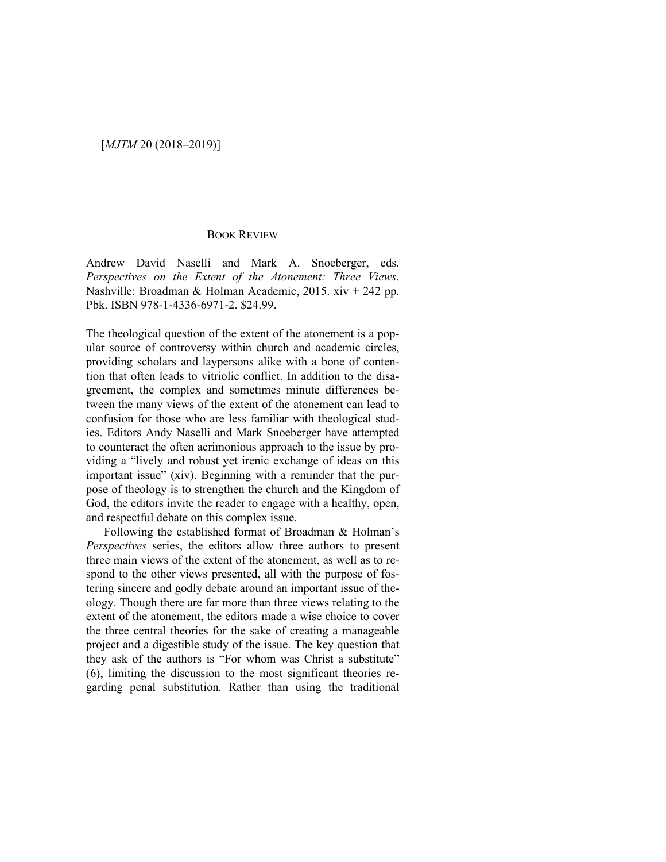## [*MJTM* 20 (2018–2019)]

## BOOK REVIEW

Andrew David Naselli and Mark A. Snoeberger, eds. *Perspectives on the Extent of the Atonement: Three Views*. Nashville: Broadman & Holman Academic, 2015. xiv + 242 pp. Pbk. ISBN 978-1-4336-6971-2. \$24.99.

The theological question of the extent of the atonement is a popular source of controversy within church and academic circles, providing scholars and laypersons alike with a bone of contention that often leads to vitriolic conflict. In addition to the disagreement, the complex and sometimes minute differences between the many views of the extent of the atonement can lead to confusion for those who are less familiar with theological studies. Editors Andy Naselli and Mark Snoeberger have attempted to counteract the often acrimonious approach to the issue by providing a "lively and robust yet irenic exchange of ideas on this important issue" (xiv). Beginning with a reminder that the purpose of theology is to strengthen the church and the Kingdom of God, the editors invite the reader to engage with a healthy, open, and respectful debate on this complex issue.

 Following the established format of Broadman & Holman's *Perspectives* series, the editors allow three authors to present three main views of the extent of the atonement, as well as to respond to the other views presented, all with the purpose of fostering sincere and godly debate around an important issue of theology. Though there are far more than three views relating to the extent of the atonement, the editors made a wise choice to cover the three central theories for the sake of creating a manageable project and a digestible study of the issue. The key question that they ask of the authors is "For whom was Christ a substitute" (6), limiting the discussion to the most significant theories regarding penal substitution. Rather than using the traditional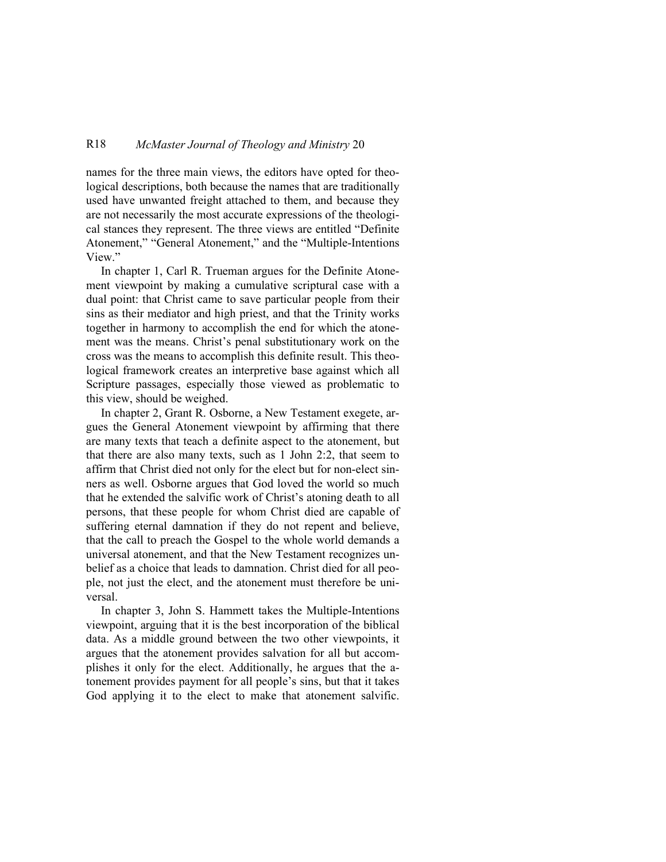## R18 *McMaster Journal of Theology and Ministry* 20

names for the three main views, the editors have opted for theological descriptions, both because the names that are traditionally used have unwanted freight attached to them, and because they are not necessarily the most accurate expressions of the theological stances they represent. The three views are entitled "Definite Atonement," "General Atonement," and the "Multiple-Intentions View."

In chapter 1, Carl R. Trueman argues for the Definite Atonement viewpoint by making a cumulative scriptural case with a dual point: that Christ came to save particular people from their sins as their mediator and high priest, and that the Trinity works together in harmony to accomplish the end for which the atonement was the means. Christ's penal substitutionary work on the cross was the means to accomplish this definite result. This theological framework creates an interpretive base against which all Scripture passages, especially those viewed as problematic to this view, should be weighed.

In chapter 2, Grant R. Osborne, a New Testament exegete, argues the General Atonement viewpoint by affirming that there are many texts that teach a definite aspect to the atonement, but that there are also many texts, such as 1 John 2:2, that seem to affirm that Christ died not only for the elect but for non-elect sinners as well. Osborne argues that God loved the world so much that he extended the salvific work of Christ's atoning death to all persons, that these people for whom Christ died are capable of suffering eternal damnation if they do not repent and believe, that the call to preach the Gospel to the whole world demands a universal atonement, and that the New Testament recognizes unbelief as a choice that leads to damnation. Christ died for all people, not just the elect, and the atonement must therefore be universal.

In chapter 3, John S. Hammett takes the Multiple-Intentions viewpoint, arguing that it is the best incorporation of the biblical data. As a middle ground between the two other viewpoints, it argues that the atonement provides salvation for all but accomplishes it only for the elect. Additionally, he argues that the atonement provides payment for all people's sins, but that it takes God applying it to the elect to make that atonement salvific.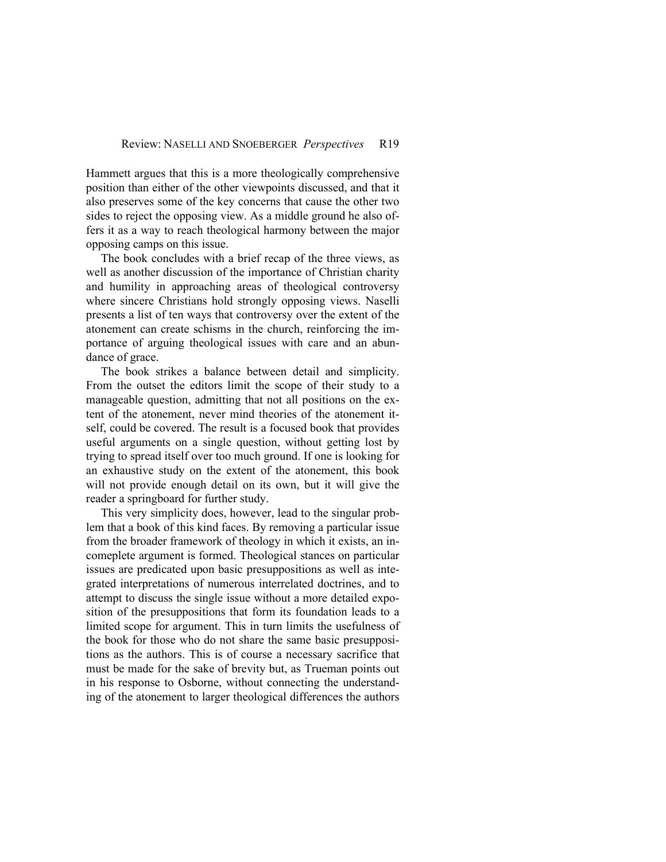Hammett argues that this is a more theologically comprehensive position than either of the other viewpoints discussed, and that it also preserves some of the key concerns that cause the other two sides to reject the opposing view. As a middle ground he also offers it as a way to reach theological harmony between the major opposing camps on this issue.

The book concludes with a brief recap of the three views, as well as another discussion of the importance of Christian charity and humility in approaching areas of theological controversy where sincere Christians hold strongly opposing views. Naselli presents a list of ten ways that controversy over the extent of the atonement can create schisms in the church, reinforcing the importance of arguing theological issues with care and an abundance of grace.

The book strikes a balance between detail and simplicity. From the outset the editors limit the scope of their study to a manageable question, admitting that not all positions on the extent of the atonement, never mind theories of the atonement itself, could be covered. The result is a focused book that provides useful arguments on a single question, without getting lost by trying to spread itself over too much ground. If one is looking for an exhaustive study on the extent of the atonement, this book will not provide enough detail on its own, but it will give the reader a springboard for further study.

This very simplicity does, however, lead to the singular problem that a book of this kind faces. By removing a particular issue from the broader framework of theology in which it exists, an incomeplete argument is formed. Theological stances on particular issues are predicated upon basic presuppositions as well as integrated interpretations of numerous interrelated doctrines, and to attempt to discuss the single issue without a more detailed exposition of the presuppositions that form its foundation leads to a limited scope for argument. This in turn limits the usefulness of the book for those who do not share the same basic presuppositions as the authors. This is of course a necessary sacrifice that must be made for the sake of brevity but, as Trueman points out in his response to Osborne, without connecting the understanding of the atonement to larger theological differences the authors